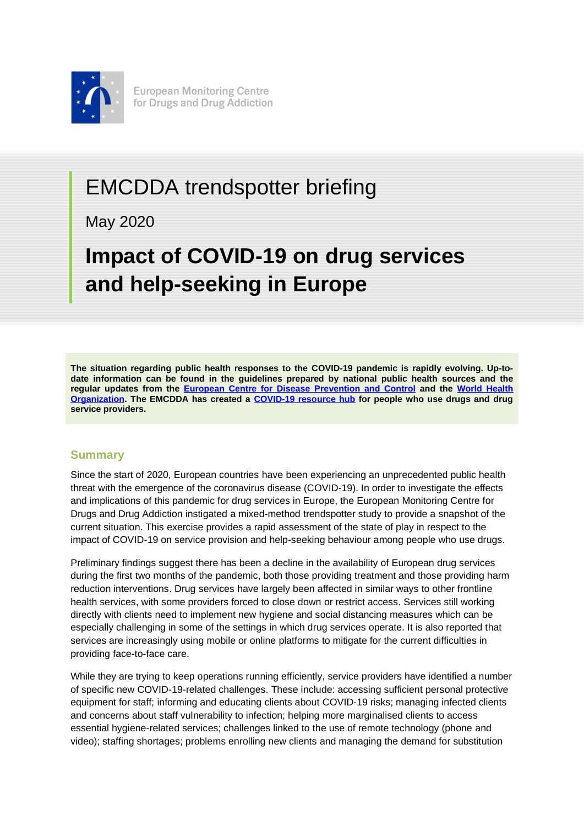

**European Monitoring Centre** for Drugs and Drug Addiction

# EMCDDA trendspotter briefing

May 2020

# **Impact of COVID-19 on drug services and help-seeking in Europe**

**The situation regarding public health responses to the COVID-19 pandemic is rapidly evolving. Up-todate information can be found in the guidelines prepared by national public health sources and the regular updates from the [European Centre for Disease Prevention and Control](https://www.ecdc.europa.eu/en/novel-coronavirus-china) and the [World Health](http://www.euro.who.int/en/home)  [Organization.](http://www.euro.who.int/en/home) The EMCDDA has created a [COVID-19 resource hub](http://www.emcdda.europa.eu/publications/ad-hoc/covid-19-resources_en) for people who use drugs and drug service providers.**

# **Summary**

Since the start of 2020, European countries have been experiencing an unprecedented public health threat with the emergence of the coronavirus disease (COVID-19). In order to investigate the effects and implications of this pandemic for drug services in Europe, the European Monitoring Centre for Drugs and Drug Addiction instigated a mixed-method trendspotter study to provide a snapshot of the current situation. This exercise provides a rapid assessment of the state of play in respect to the impact of COVID-19 on service provision and help-seeking behaviour among people who use drugs.

Preliminary findings suggest there has been a decline in the availability of European drug services during the first two months of the pandemic, both those providing treatment and those providing harm reduction interventions. Drug services have largely been affected in similar ways to other frontline health services, with some providers forced to close down or restrict access. Services still working directly with clients need to implement new hygiene and social distancing measures which can be especially challenging in some of the settings in which drug services operate. It is also reported that services are increasingly using mobile or online platforms to mitigate for the current difficulties in providing face-to-face care.

While they are trying to keep operations running efficiently, service providers have identified a number of specific new COVID-19-related challenges. These include: accessing sufficient personal protective equipment for staff; informing and educating clients about COVID-19 risks; managing infected clients and concerns about staff vulnerability to infection; helping more marginalised clients to access essential hygiene-related services; challenges linked to the use of remote technology (phone and video); staffing shortages; problems enrolling new clients and managing the demand for substitution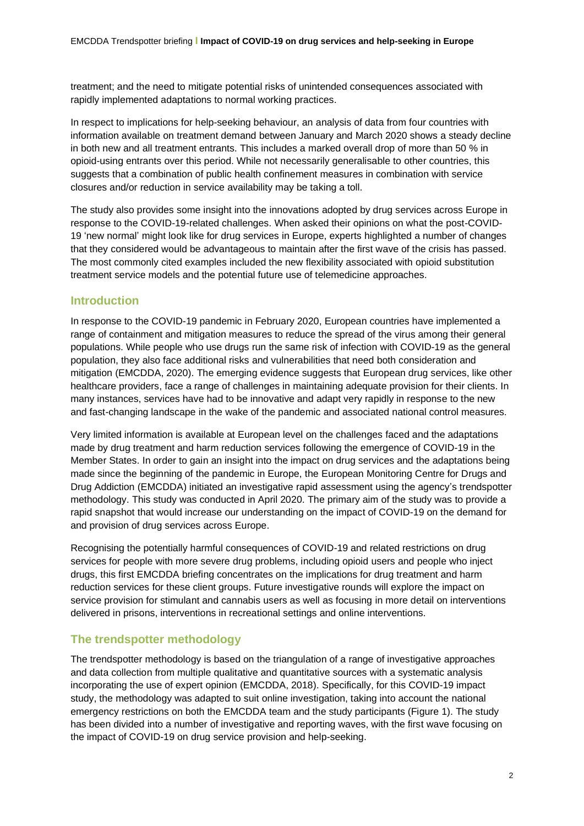treatment; and the need to mitigate potential risks of unintended consequences associated with rapidly implemented adaptations to normal working practices.

In respect to implications for help-seeking behaviour, an analysis of data from four countries with information available on treatment demand between January and March 2020 shows a steady decline in both new and all treatment entrants. This includes a marked overall drop of more than 50 % in opioid-using entrants over this period. While not necessarily generalisable to other countries, this suggests that a combination of public health confinement measures in combination with service closures and/or reduction in service availability may be taking a toll.

The study also provides some insight into the innovations adopted by drug services across Europe in response to the COVID-19-related challenges. When asked their opinions on what the post-COVID-19 'new normal' might look like for drug services in Europe, experts highlighted a number of changes that they considered would be advantageous to maintain after the first wave of the crisis has passed. The most commonly cited examples included the new flexibility associated with opioid substitution treatment service models and the potential future use of telemedicine approaches.

## **Introduction**

In response to the COVID-19 pandemic in February 2020, European countries have implemented a range of containment and mitigation measures to reduce the spread of the virus among their general populations. While people who use drugs run the same risk of infection with COVID-19 as the general population, they also face additional risks and vulnerabilities that need both consideration and mitigation (EMCDDA, 2020). The emerging evidence suggests that European drug services, like other healthcare providers, face a range of challenges in maintaining adequate provision for their clients. In many instances, services have had to be innovative and adapt very rapidly in response to the new and fast-changing landscape in the wake of the pandemic and associated national control measures.

Very limited information is available at European level on the challenges faced and the adaptations made by drug treatment and harm reduction services following the emergence of COVID-19 in the Member States. In order to gain an insight into the impact on drug services and the adaptations being made since the beginning of the pandemic in Europe, the European Monitoring Centre for Drugs and Drug Addiction (EMCDDA) initiated an investigative rapid assessment using the agency's trendspotter methodology. This study was conducted in April 2020. The primary aim of the study was to provide a rapid snapshot that would increase our understanding on the impact of COVID-19 on the demand for and provision of drug services across Europe.

Recognising the potentially harmful consequences of COVID-19 and related restrictions on drug services for people with more severe drug problems, including opioid users and people who inject drugs, this first EMCDDA briefing concentrates on the implications for drug treatment and harm reduction services for these client groups. Future investigative rounds will explore the impact on service provision for stimulant and cannabis users as well as focusing in more detail on interventions delivered in prisons, interventions in recreational settings and online interventions.

# **The trendspotter methodology**

The trendspotter methodology is based on the triangulation of a range of investigative approaches and data collection from multiple qualitative and quantitative sources with a systematic analysis incorporating the use of expert opinion (EMCDDA, 2018). Specifically, for this COVID-19 impact study, the methodology was adapted to suit online investigation, taking into account the national emergency restrictions on both the EMCDDA team and the study participants (Figure 1). The study has been divided into a number of investigative and reporting waves, with the first wave focusing on the impact of COVID-19 on drug service provision and help-seeking.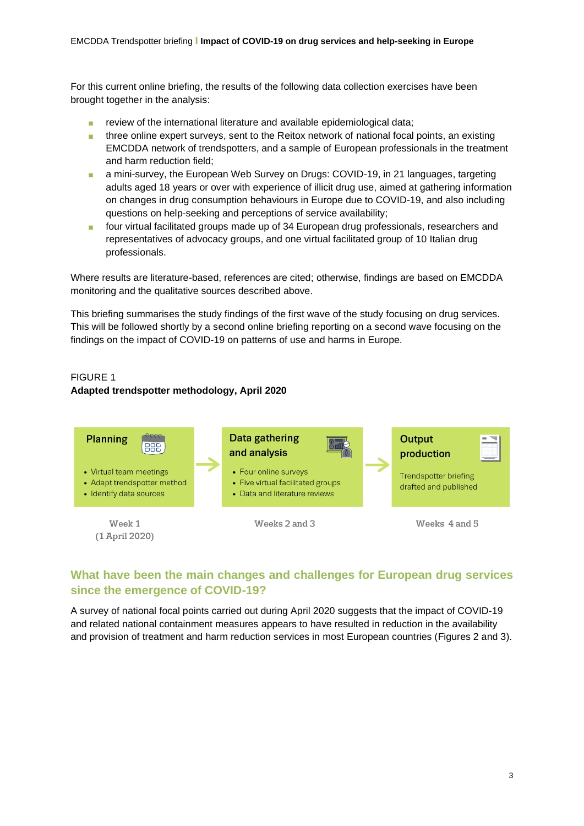For this current online briefing, the results of the following data collection exercises have been brought together in the analysis:

- review of the international literature and available epidemiological data;
- three online expert surveys, sent to the Reitox network of national focal points, an existing EMCDDA network of trendspotters, and a sample of European professionals in the treatment and harm reduction field;
- a mini-survey, the European Web Survey on Drugs: COVID-19, in 21 languages, targeting adults aged 18 years or over with experience of illicit drug use, aimed at gathering information on changes in drug consumption behaviours in Europe due to COVID-19, and also including questions on help-seeking and perceptions of service availability;
- four virtual facilitated groups made up of 34 European drug professionals, researchers and representatives of advocacy groups, and one virtual facilitated group of 10 Italian drug professionals.

Where results are literature-based, references are cited; otherwise, findings are based on EMCDDA monitoring and the qualitative sources described above.

This briefing summarises the study findings of the first wave of the study focusing on drug services. This will be followed shortly by a second online briefing reporting on a second wave focusing on the findings on the impact of COVID-19 on patterns of use and harms in Europe.

# FIGURE 1 **Adapted trendspotter methodology, April 2020**



# **What have been the main changes and challenges for European drug services since the emergence of COVID-19?**

A survey of national focal points carried out during April 2020 suggests that the impact of COVID-19 and related national containment measures appears to have resulted in reduction in the availability and provision of treatment and harm reduction services in most European countries (Figures 2 and 3).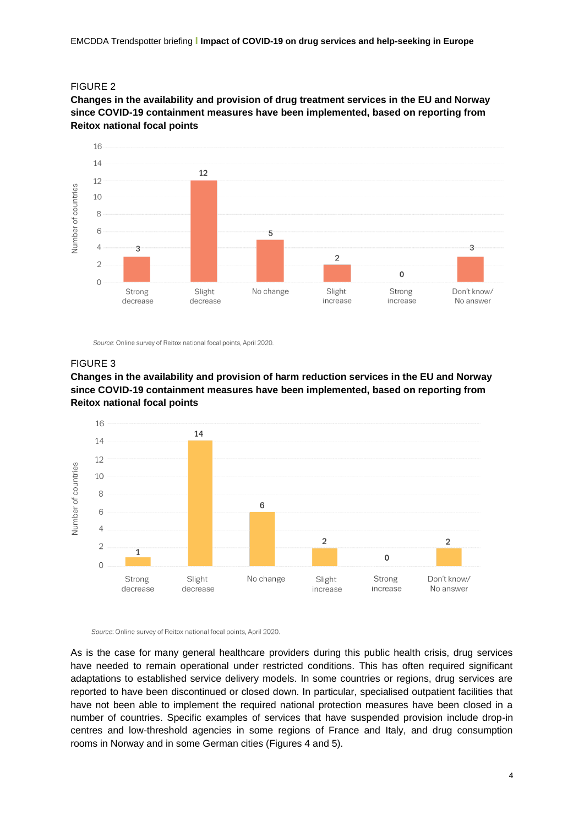#### FIGURE 2





Source: Online survey of Reitox national focal points, April 2020

### FIGURE 3

**Changes in the availability and provision of harm reduction services in the EU and Norway since COVID-19 containment measures have been implemented, based on reporting from Reitox national focal points**



Source: Online survey of Reitox national focal points, April 2020.

As is the case for many general healthcare providers during this public health crisis, drug services have needed to remain operational under restricted conditions. This has often required significant adaptations to established service delivery models. In some countries or regions, drug services are reported to have been discontinued or closed down. In particular, specialised outpatient facilities that have not been able to implement the required national protection measures have been closed in a number of countries. Specific examples of services that have suspended provision include drop-in centres and low-threshold agencies in some regions of France and Italy, and drug consumption rooms in Norway and in some German cities (Figures 4 and 5).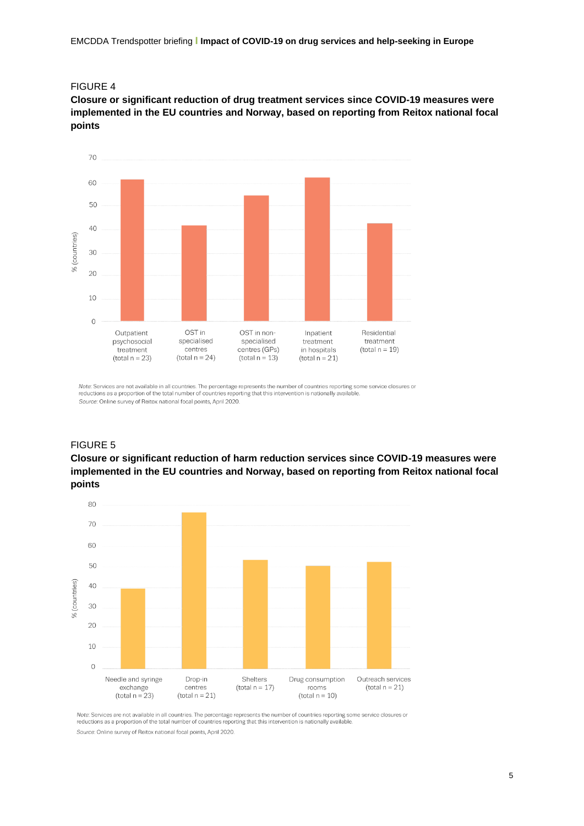#### FIGURE 4

**Closure or significant reduction of drug treatment services since COVID-19 measures were implemented in the EU countries and Norway, based on reporting from Reitox national focal points**



Note: Services are not available in all countries. The percentage represents the number of countries reporting some service closures or reductions as a proportion of the total number of countries reporting that this intervention is nationally available Source: Online survey of Reitox national focal points, April 2020.

#### FIGURE 5

**Closure or significant reduction of harm reduction services since COVID-19 measures were implemented in the EU countries and Norway, based on reporting from Reitox national focal points**



Note: Services are not available in all countries. The percentage represents the number of countries reporting some service closures or reductions as a proportion of the total number of countries reporting that this intervention is nationally available

Source: Online survey of Reitox national focal points, April 2020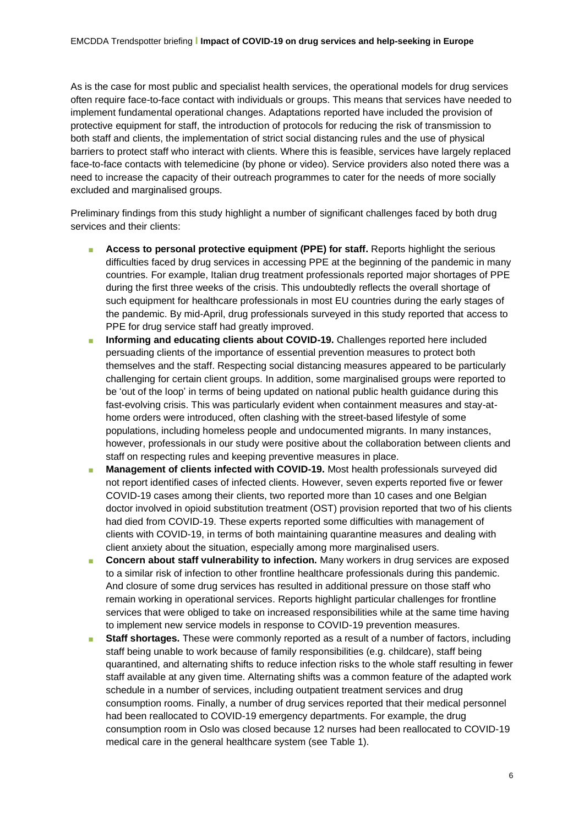As is the case for most public and specialist health services, the operational models for drug services often require face-to-face contact with individuals or groups. This means that services have needed to implement fundamental operational changes. Adaptations reported have included the provision of protective equipment for staff, the introduction of protocols for reducing the risk of transmission to both staff and clients, the implementation of strict social distancing rules and the use of physical barriers to protect staff who interact with clients. Where this is feasible, services have largely replaced face-to-face contacts with telemedicine (by phone or video). Service providers also noted there was a need to increase the capacity of their outreach programmes to cater for the needs of more socially excluded and marginalised groups.

Preliminary findings from this study highlight a number of significant challenges faced by both drug services and their clients:

- **Access to personal protective equipment (PPE) for staff.** Reports highlight the serious difficulties faced by drug services in accessing PPE at the beginning of the pandemic in many countries. For example, Italian drug treatment professionals reported major shortages of PPE during the first three weeks of the crisis. This undoubtedly reflects the overall shortage of such equipment for healthcare professionals in most EU countries during the early stages of the pandemic. By mid-April, drug professionals surveyed in this study reported that access to PPE for drug service staff had greatly improved.
- **Informing and educating clients about COVID-19.** Challenges reported here included persuading clients of the importance of essential prevention measures to protect both themselves and the staff. Respecting social distancing measures appeared to be particularly challenging for certain client groups. In addition, some marginalised groups were reported to be 'out of the loop' in terms of being updated on national public health guidance during this fast-evolving crisis. This was particularly evident when containment measures and stay-athome orders were introduced, often clashing with the street-based lifestyle of some populations, including homeless people and undocumented migrants. In many instances, however, professionals in our study were positive about the collaboration between clients and staff on respecting rules and keeping preventive measures in place.
- **Management of clients infected with COVID-19.** Most health professionals surveyed did not report identified cases of infected clients. However, seven experts reported five or fewer COVID-19 cases among their clients, two reported more than 10 cases and one Belgian doctor involved in opioid substitution treatment (OST) provision reported that two of his clients had died from COVID-19. These experts reported some difficulties with management of clients with COVID-19, in terms of both maintaining quarantine measures and dealing with client anxiety about the situation, especially among more marginalised users.
- **Concern about staff vulnerability to infection.** Many workers in drug services are exposed to a similar risk of infection to other frontline healthcare professionals during this pandemic. And closure of some drug services has resulted in additional pressure on those staff who remain working in operational services. Reports highlight particular challenges for frontline services that were obliged to take on increased responsibilities while at the same time having to implement new service models in response to COVID-19 prevention measures.
- **Staff shortages.** These were commonly reported as a result of a number of factors, including staff being unable to work because of family responsibilities (e.g. childcare), staff being quarantined, and alternating shifts to reduce infection risks to the whole staff resulting in fewer staff available at any given time. Alternating shifts was a common feature of the adapted work schedule in a number of services, including outpatient treatment services and drug consumption rooms. Finally, a number of drug services reported that their medical personnel had been reallocated to COVID-19 emergency departments. For example, the drug consumption room in Oslo was closed because 12 nurses had been reallocated to COVID-19 medical care in the general healthcare system (see Table 1).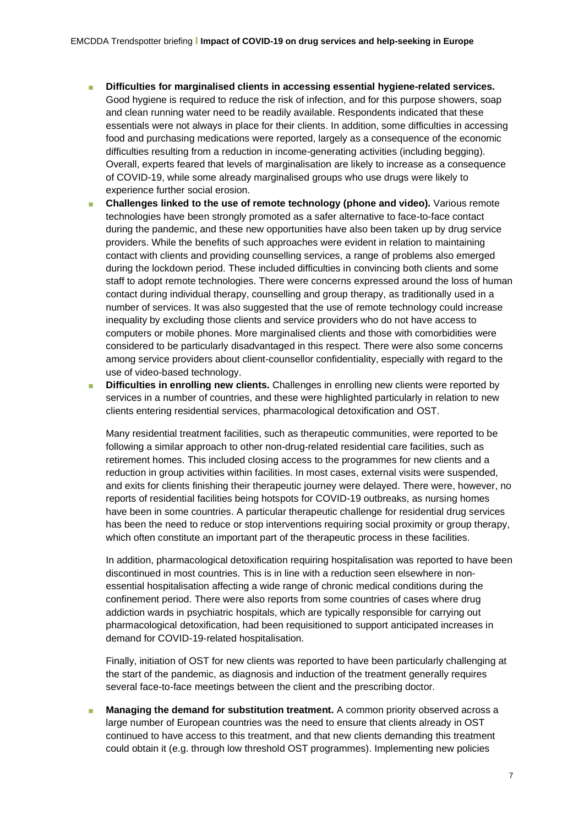- **Difficulties for marginalised clients in accessing essential hygiene-related services.** Good hygiene is required to reduce the risk of infection, and for this purpose showers, soap and clean running water need to be readily available. Respondents indicated that these essentials were not always in place for their clients. In addition, some difficulties in accessing food and purchasing medications were reported, largely as a consequence of the economic difficulties resulting from a reduction in income-generating activities (including begging). Overall, experts feared that levels of marginalisation are likely to increase as a consequence of COVID-19, while some already marginalised groups who use drugs were likely to experience further social erosion.
- **Challenges linked to the use of remote technology (phone and video). Various remote** technologies have been strongly promoted as a safer alternative to face-to-face contact during the pandemic, and these new opportunities have also been taken up by drug service providers. While the benefits of such approaches were evident in relation to maintaining contact with clients and providing counselling services, a range of problems also emerged during the lockdown period. These included difficulties in convincing both clients and some staff to adopt remote technologies. There were concerns expressed around the loss of human contact during individual therapy, counselling and group therapy, as traditionally used in a number of services. It was also suggested that the use of remote technology could increase inequality by excluding those clients and service providers who do not have access to computers or mobile phones. More marginalised clients and those with comorbidities were considered to be particularly disadvantaged in this respect. There were also some concerns among service providers about client-counsellor confidentiality, especially with regard to the use of video-based technology.
- **Difficulties in enrolling new clients.** Challenges in enrolling new clients were reported by services in a number of countries, and these were highlighted particularly in relation to new clients entering residential services, pharmacological detoxification and OST.

Many residential treatment facilities, such as therapeutic communities, were reported to be following a similar approach to other non-drug-related residential care facilities, such as retirement homes. This included closing access to the programmes for new clients and a reduction in group activities within facilities. In most cases, external visits were suspended, and exits for clients finishing their therapeutic journey were delayed. There were, however, no reports of residential facilities being hotspots for COVID-19 outbreaks, as nursing homes have been in some countries. A particular therapeutic challenge for residential drug services has been the need to reduce or stop interventions requiring social proximity or group therapy, which often constitute an important part of the therapeutic process in these facilities.

In addition, pharmacological detoxification requiring hospitalisation was reported to have been discontinued in most countries. This is in line with a reduction seen elsewhere in nonessential hospitalisation affecting a wide range of chronic medical conditions during the confinement period. There were also reports from some countries of cases where drug addiction wards in psychiatric hospitals, which are typically responsible for carrying out pharmacological detoxification, had been requisitioned to support anticipated increases in demand for COVID-19-related hospitalisation.

Finally, initiation of OST for new clients was reported to have been particularly challenging at the start of the pandemic, as diagnosis and induction of the treatment generally requires several face-to-face meetings between the client and the prescribing doctor.

■ **Managing the demand for substitution treatment.** A common priority observed across a large number of European countries was the need to ensure that clients already in OST continued to have access to this treatment, and that new clients demanding this treatment could obtain it (e.g. through low threshold OST programmes). Implementing new policies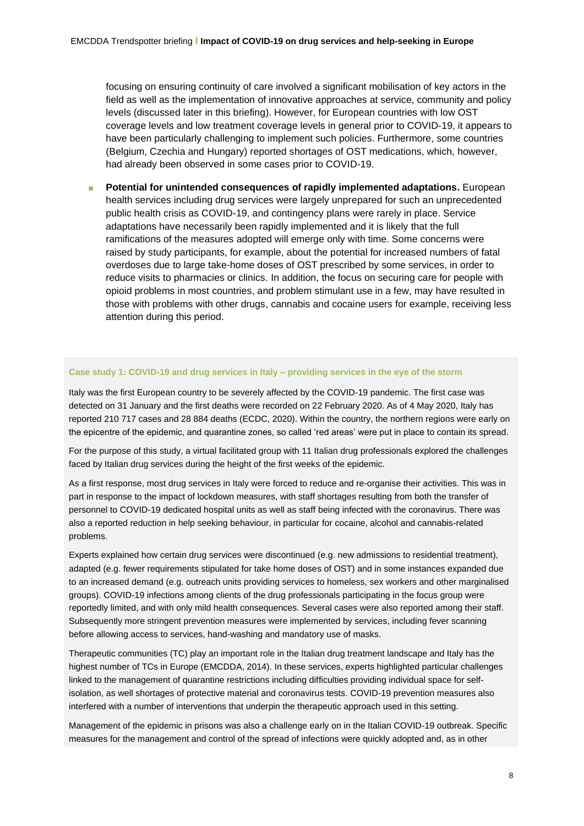focusing on ensuring continuity of care involved a significant mobilisation of key actors in the field as well as the implementation of innovative approaches at service, community and policy levels (discussed later in this briefing). However, for European countries with low OST coverage levels and low treatment coverage levels in general prior to COVID-19, it appears to have been particularly challenging to implement such policies. Furthermore, some countries (Belgium, Czechia and Hungary) reported shortages of OST medications, which, however, had already been observed in some cases prior to COVID-19.

■ **Potential for unintended consequences of rapidly implemented adaptations.** European health services including drug services were largely unprepared for such an unprecedented public health crisis as COVID-19, and contingency plans were rarely in place. Service adaptations have necessarily been rapidly implemented and it is likely that the full ramifications of the measures adopted will emerge only with time. Some concerns were raised by study participants, for example, about the potential for increased numbers of fatal overdoses due to large take-home doses of OST prescribed by some services, in order to reduce visits to pharmacies or clinics. In addition, the focus on securing care for people with opioid problems in most countries, and problem stimulant use in a few, may have resulted in those with problems with other drugs, cannabis and cocaine users for example, receiving less attention during this period.

#### **Case study 1: COVID-19 and drug services in Italy – providing services in the eye of the storm**

Italy was the first European country to be severely affected by the COVID-19 pandemic. The first case was detected on 31 January and the first deaths were recorded on 22 February 2020. As of 4 May 2020, Italy has reported 210 717 cases and 28 884 deaths (ECDC, 2020). Within the country, the northern regions were early on the epicentre of the epidemic, and quarantine zones, so called 'red areas' were put in place to contain its spread.

For the purpose of this study, a virtual facilitated group with 11 Italian drug professionals explored the challenges faced by Italian drug services during the height of the first weeks of the epidemic.

As a first response, most drug services in Italy were forced to reduce and re-organise their activities. This was in part in response to the impact of lockdown measures, with staff shortages resulting from both the transfer of personnel to COVID-19 dedicated hospital units as well as staff being infected with the coronavirus. There was also a reported reduction in help seeking behaviour, in particular for cocaine, alcohol and cannabis-related problems.

Experts explained how certain drug services were discontinued (e.g. new admissions to residential treatment), adapted (e.g. fewer requirements stipulated for take home doses of OST) and in some instances expanded due to an increased demand (e.g. outreach units providing services to homeless, sex workers and other marginalised groups). COVID-19 infections among clients of the drug professionals participating in the focus group were reportedly limited, and with only mild health consequences. Several cases were also reported among their staff. Subsequently more stringent prevention measures were implemented by services, including fever scanning before allowing access to services, hand-washing and mandatory use of masks.

Therapeutic communities (TC) play an important role in the Italian drug treatment landscape and Italy has the highest number of TCs in Europe (EMCDDA, 2014). In these services, experts highlighted particular challenges linked to the management of quarantine restrictions including difficulties providing individual space for selfisolation, as well shortages of protective material and coronavirus tests. COVID-19 prevention measures also interfered with a number of interventions that underpin the therapeutic approach used in this setting.

Management of the epidemic in prisons was also a challenge early on in the Italian COVID-19 outbreak. Specific measures for the management and control of the spread of infections were quickly adopted and, as in other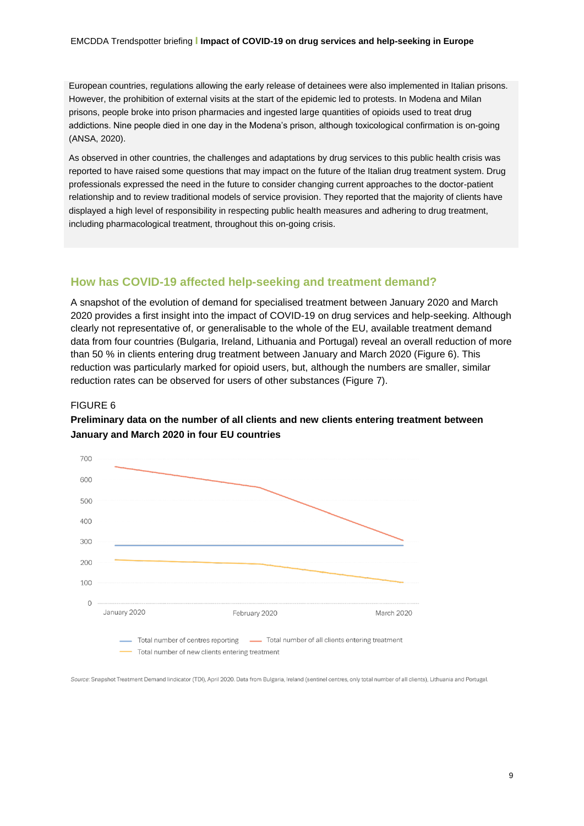European countries, regulations allowing the early release of detainees were also implemented in Italian prisons. However, the prohibition of external visits at the start of the epidemic led to protests. In Modena and Milan prisons, people broke into prison pharmacies and ingested large quantities of opioids used to treat drug addictions. Nine people died in one day in the Modena's prison, although toxicological confirmation is on-going (ANSA, 2020).

As observed in other countries, the challenges and adaptations by drug services to this public health crisis was reported to have raised some questions that may impact on the future of the Italian drug treatment system. Drug professionals expressed the need in the future to consider changing current approaches to the doctor-patient relationship and to review traditional models of service provision. They reported that the majority of clients have displayed a high level of responsibility in respecting public health measures and adhering to drug treatment, including pharmacological treatment, throughout this on-going crisis.

# **How has COVID-19 affected help-seeking and treatment demand?**

A snapshot of the evolution of demand for specialised treatment between January 2020 and March 2020 provides a first insight into the impact of COVID-19 on drug services and help-seeking. Although clearly not representative of, or generalisable to the whole of the EU, available treatment demand data from four countries (Bulgaria, Ireland, Lithuania and Portugal) reveal an overall reduction of more than 50 % in clients entering drug treatment between January and March 2020 (Figure 6). This reduction was particularly marked for opioid users, but, although the numbers are smaller, similar reduction rates can be observed for users of other substances (Figure 7).

### FIGURE 6

## **Preliminary data on the number of all clients and new clients entering treatment between January and March 2020 in four EU countries**



Source: Snapshot Treatment Demand lindicator (TDI), April 2020. Data from Bulgaria, Ireland (sentinel centres, only total number of all clients), Lithuania and Portugal.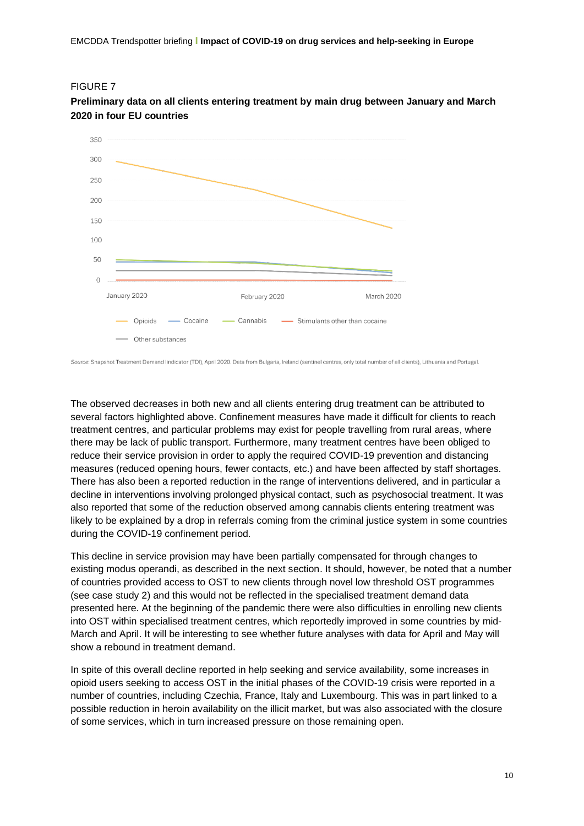



**Preliminary data on all clients entering treatment by main drug between January and March 2020 in four EU countries**

The observed decreases in both new and all clients entering drug treatment can be attributed to several factors highlighted above. Confinement measures have made it difficult for clients to reach treatment centres, and particular problems may exist for people travelling from rural areas, where there may be lack of public transport. Furthermore, many treatment centres have been obliged to reduce their service provision in order to apply the required COVID-19 prevention and distancing measures (reduced opening hours, fewer contacts, etc.) and have been affected by staff shortages. There has also been a reported reduction in the range of interventions delivered, and in particular a decline in interventions involving prolonged physical contact, such as psychosocial treatment. It was also reported that some of the reduction observed among cannabis clients entering treatment was likely to be explained by a drop in referrals coming from the criminal justice system in some countries during the COVID-19 confinement period.

This decline in service provision may have been partially compensated for through changes to existing modus operandi, as described in the next section. It should, however, be noted that a number of countries provided access to OST to new clients through novel low threshold OST programmes (see case study 2) and this would not be reflected in the specialised treatment demand data presented here. At the beginning of the pandemic there were also difficulties in enrolling new clients into OST within specialised treatment centres, which reportedly improved in some countries by mid-March and April. It will be interesting to see whether future analyses with data for April and May will show a rebound in treatment demand.

In spite of this overall decline reported in help seeking and service availability, some increases in opioid users seeking to access OST in the initial phases of the COVID-19 crisis were reported in a number of countries, including Czechia, France, Italy and Luxembourg. This was in part linked to a possible reduction in heroin availability on the illicit market, but was also associated with the closure of some services, which in turn increased pressure on those remaining open.

Source: Snapshot Treatment Demand lindicator (TDI), April 2020. Data from Bulgaria, Ireland (sentinel centres, only total number of all clients), Lithuania and Portugal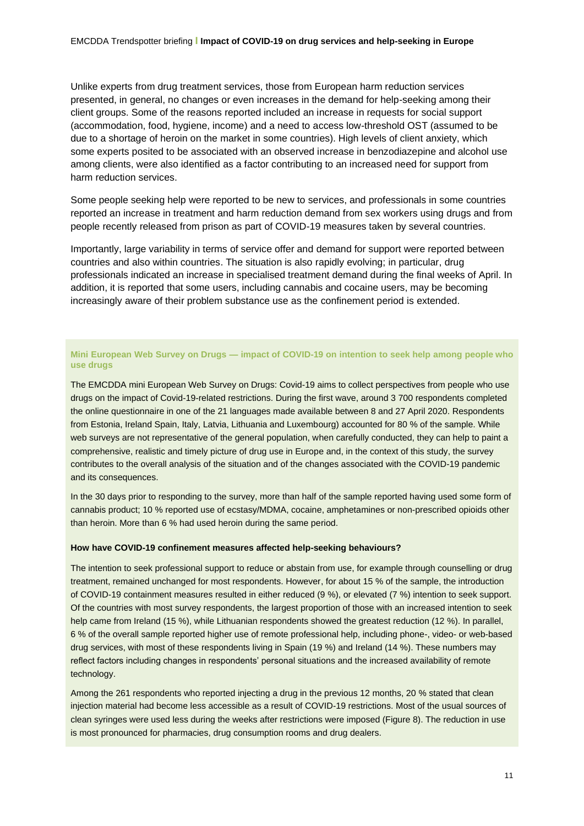Unlike experts from drug treatment services, those from European harm reduction services presented, in general, no changes or even increases in the demand for help-seeking among their client groups. Some of the reasons reported included an increase in requests for social support (accommodation, food, hygiene, income) and a need to access low-threshold OST (assumed to be due to a shortage of heroin on the market in some countries). High levels of client anxiety, which some experts posited to be associated with an observed increase in benzodiazepine and alcohol use among clients, were also identified as a factor contributing to an increased need for support from harm reduction services.

Some people seeking help were reported to be new to services, and professionals in some countries reported an increase in treatment and harm reduction demand from sex workers using drugs and from people recently released from prison as part of COVID-19 measures taken by several countries.

Importantly, large variability in terms of service offer and demand for support were reported between countries and also within countries. The situation is also rapidly evolving; in particular, drug professionals indicated an increase in specialised treatment demand during the final weeks of April. In addition, it is reported that some users, including cannabis and cocaine users, may be becoming increasingly aware of their problem substance use as the confinement period is extended.

#### **Mini European Web Survey on Drugs — impact of COVID-19 on intention to seek help among people who use drugs**

The EMCDDA mini European Web Survey on Drugs: Covid-19 aims to collect perspectives from people who use drugs on the impact of Covid-19-related restrictions. During the first wave, around 3 700 respondents completed the online questionnaire in one of the 21 languages made available between 8 and 27 April 2020. Respondents from Estonia, Ireland Spain, Italy, Latvia, Lithuania and Luxembourg) accounted for 80 % of the sample. While web surveys are not representative of the general population, when carefully conducted, they can help to paint a comprehensive, realistic and timely picture of drug use in Europe and, in the context of this study, the survey contributes to the overall analysis of the situation and of the changes associated with the COVID-19 pandemic and its consequences.

In the 30 days prior to responding to the survey, more than half of the sample reported having used some form of cannabis product; 10 % reported use of ecstasy/MDMA, cocaine, amphetamines or non-prescribed opioids other than heroin. More than 6 % had used heroin during the same period.

#### **How have COVID-19 confinement measures affected help-seeking behaviours?**

The intention to seek professional support to reduce or abstain from use, for example through counselling or drug treatment, remained unchanged for most respondents. However, for about 15 % of the sample, the introduction of COVID-19 containment measures resulted in either reduced (9 %), or elevated (7 %) intention to seek support. Of the countries with most survey respondents, the largest proportion of those with an increased intention to seek help came from Ireland (15 %), while Lithuanian respondents showed the greatest reduction (12 %). In parallel, 6 % of the overall sample reported higher use of remote professional help, including phone-, video- or web-based drug services, with most of these respondents living in Spain (19 %) and Ireland (14 %). These numbers may reflect factors including changes in respondents' personal situations and the increased availability of remote technology.

Among the 261 respondents who reported injecting a drug in the previous 12 months, 20 % stated that clean injection material had become less accessible as a result of COVID-19 restrictions. Most of the usual sources of clean syringes were used less during the weeks after restrictions were imposed (Figure 8). The reduction in use is most pronounced for pharmacies, drug consumption rooms and drug dealers.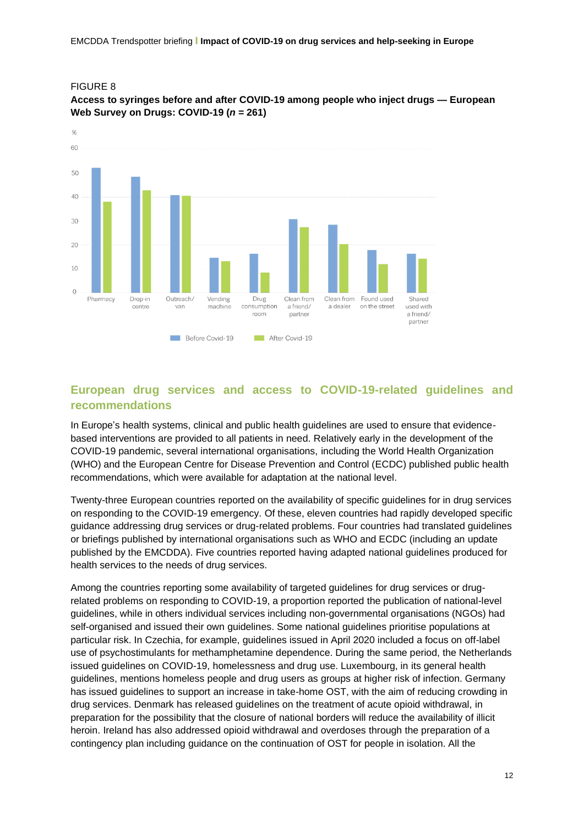



**Access to syringes before and after COVID-19 among people who inject drugs — European Web Survey on Drugs: COVID-19 (***n* **= 261)**

# **European drug services and access to COVID-19-related guidelines and recommendations**

In Europe's health systems, clinical and public health guidelines are used to ensure that evidencebased interventions are provided to all patients in need. Relatively early in the development of the COVID-19 pandemic, several international organisations, including the World Health Organization (WHO) and the European Centre for Disease Prevention and Control (ECDC) published public health recommendations, which were available for adaptation at the national level.

Twenty-three European countries reported on the availability of specific guidelines for in drug services on responding to the COVID-19 emergency. Of these, eleven countries had rapidly developed specific guidance addressing drug services or drug-related problems. Four countries had translated guidelines or briefings published by international organisations such as WHO and ECDC (including an update published by the EMCDDA). Five countries reported having adapted national guidelines produced for health services to the needs of drug services.

Among the countries reporting some availability of targeted guidelines for drug services or drugrelated problems on responding to COVID-19, a proportion reported the publication of national-level guidelines, while in others individual services including non-governmental organisations (NGOs) had self-organised and issued their own guidelines. Some national guidelines prioritise populations at particular risk. In Czechia, for example, guidelines issued in April 2020 included a focus on off-label use of psychostimulants for methamphetamine dependence. During the same period, the Netherlands issued guidelines on COVID-19, homelessness and drug use. Luxembourg, in its general health guidelines, mentions homeless people and drug users as groups at higher risk of infection. Germany has issued guidelines to support an increase in take-home OST, with the aim of reducing crowding in drug services. Denmark has released guidelines on the treatment of acute opioid withdrawal, in preparation for the possibility that the closure of national borders will reduce the availability of illicit heroin. Ireland has also addressed opioid withdrawal and overdoses through the preparation of a contingency plan including guidance on the continuation of OST for people in isolation. All the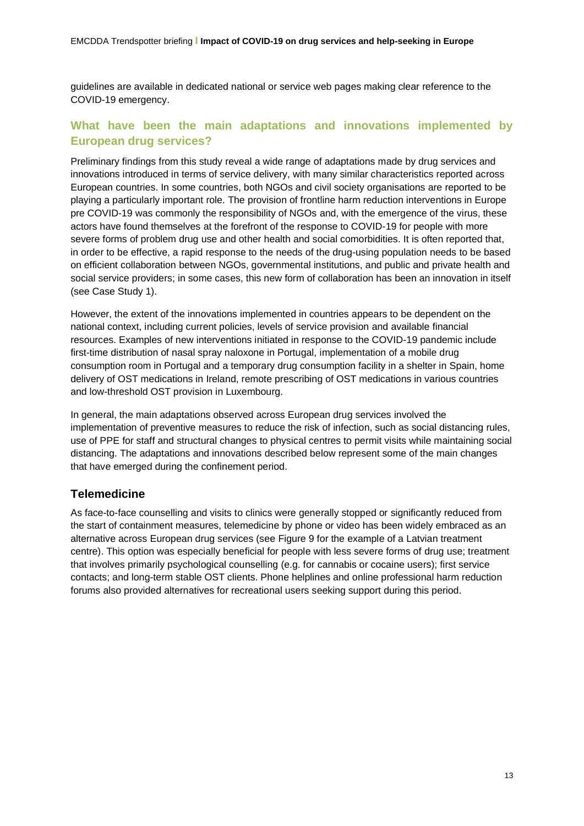guidelines are available in dedicated national or service web pages making clear reference to the COVID-19 emergency.

# **What have been the main adaptations and innovations implemented by European drug services?**

Preliminary findings from this study reveal a wide range of adaptations made by drug services and innovations introduced in terms of service delivery, with many similar characteristics reported across European countries. In some countries, both NGOs and civil society organisations are reported to be playing a particularly important role. The provision of frontline harm reduction interventions in Europe pre COVID-19 was commonly the responsibility of NGOs and, with the emergence of the virus, these actors have found themselves at the forefront of the response to COVID-19 for people with more severe forms of problem drug use and other health and social comorbidities. It is often reported that, in order to be effective, a rapid response to the needs of the drug-using population needs to be based on efficient collaboration between NGOs, governmental institutions, and public and private health and social service providers; in some cases, this new form of collaboration has been an innovation in itself (see Case Study 1).

However, the extent of the innovations implemented in countries appears to be dependent on the national context, including current policies, levels of service provision and available financial resources. Examples of new interventions initiated in response to the COVID-19 pandemic include first-time distribution of nasal spray naloxone in Portugal, implementation of a mobile drug consumption room in Portugal and a temporary drug consumption facility in a shelter in Spain, home delivery of OST medications in Ireland, remote prescribing of OST medications in various countries and low-threshold OST provision in Luxembourg.

In general, the main adaptations observed across European drug services involved the implementation of preventive measures to reduce the risk of infection, such as social distancing rules, use of PPE for staff and structural changes to physical centres to permit visits while maintaining social distancing. The adaptations and innovations described below represent some of the main changes that have emerged during the confinement period.

# **Telemedicine**

As face-to-face counselling and visits to clinics were generally stopped or significantly reduced from the start of containment measures, telemedicine by phone or video has been widely embraced as an alternative across European drug services (see Figure 9 for the example of a Latvian treatment centre). This option was especially beneficial for people with less severe forms of drug use; treatment that involves primarily psychological counselling (e.g. for cannabis or cocaine users); first service contacts; and long-term stable OST clients. Phone helplines and online professional harm reduction forums also provided alternatives for recreational users seeking support during this period.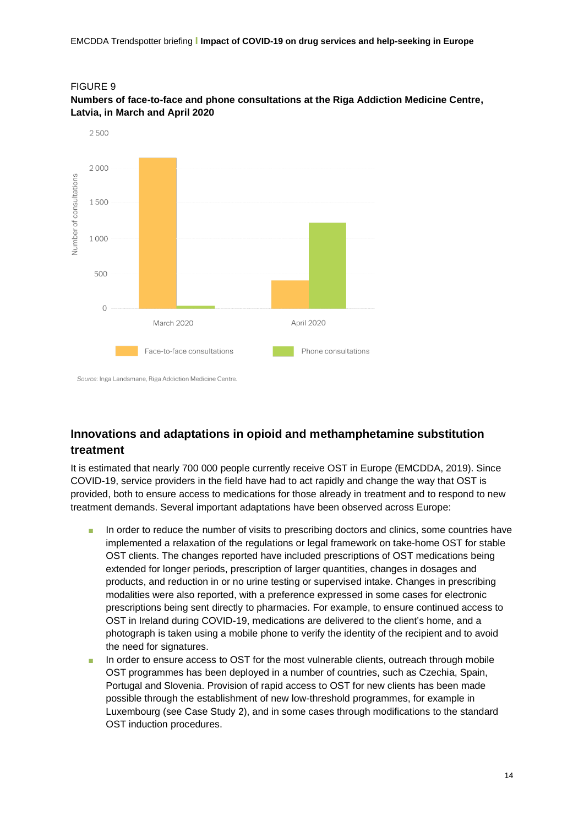

### FIGURE 9

**Numbers of face-to-face and phone consultations at the Riga Addiction Medicine Centre, Latvia, in March and April 2020**

Source: Inga Landsmane, Riga Addiction Medicine Centre.

# **Innovations and adaptations in opioid and methamphetamine substitution treatment**

It is estimated that nearly 700 000 people currently receive OST in Europe (EMCDDA, 2019). Since COVID-19, service providers in the field have had to act rapidly and change the way that OST is provided, both to ensure access to medications for those already in treatment and to respond to new treatment demands. Several important adaptations have been observed across Europe:

- In order to reduce the number of visits to prescribing doctors and clinics, some countries have implemented a relaxation of the regulations or legal framework on take-home OST for stable OST clients. The changes reported have included prescriptions of OST medications being extended for longer periods, prescription of larger quantities, changes in dosages and products, and reduction in or no urine testing or supervised intake. Changes in prescribing modalities were also reported, with a preference expressed in some cases for electronic prescriptions being sent directly to pharmacies. For example, to ensure continued access to OST in Ireland during COVID-19, medications are delivered to the client's home, and a photograph is taken using a mobile phone to verify the identity of the recipient and to avoid the need for signatures.
- In order to ensure access to OST for the most vulnerable clients, outreach through mobile OST programmes has been deployed in a number of countries, such as Czechia, Spain, Portugal and Slovenia. Provision of rapid access to OST for new clients has been made possible through the establishment of new low-threshold programmes, for example in Luxembourg (see Case Study 2), and in some cases through modifications to the standard OST induction procedures.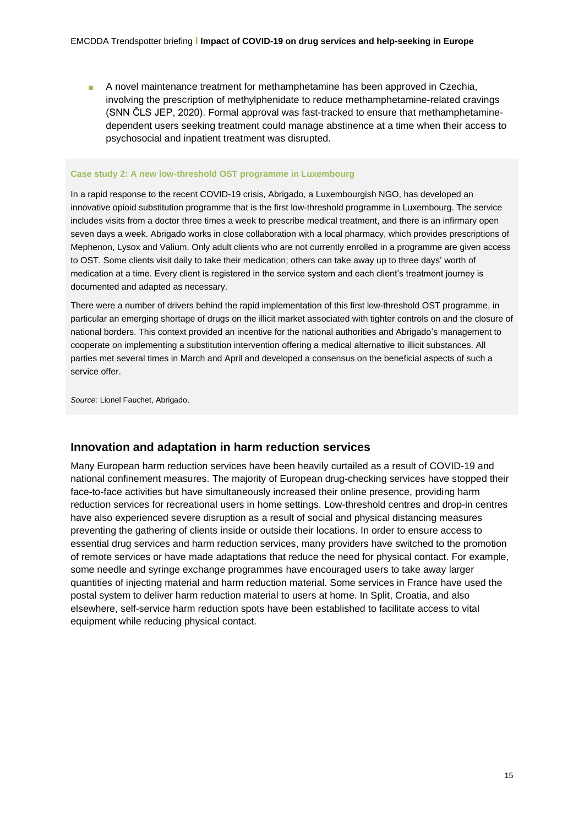■ A novel maintenance treatment for methamphetamine has been approved in Czechia. involving the prescription of methylphenidate to reduce methamphetamine-related cravings (SNN ČLS JEP, 2020). Formal approval was fast-tracked to ensure that methamphetaminedependent users seeking treatment could manage abstinence at a time when their access to psychosocial and inpatient treatment was disrupted.

#### **Case study 2: A new low-threshold OST programme in Luxembourg**

In a rapid response to the recent COVID-19 crisis, Abrigado, a Luxembourgish NGO, has developed an innovative opioid substitution programme that is the first low-threshold programme in Luxembourg. The service includes visits from a doctor three times a week to prescribe medical treatment, and there is an infirmary open seven days a week. Abrigado works in close collaboration with a local pharmacy, which provides prescriptions of Mephenon, Lysox and Valium. Only adult clients who are not currently enrolled in a programme are given access to OST. Some clients visit daily to take their medication; others can take away up to three days' worth of medication at a time. Every client is registered in the service system and each client's treatment journey is documented and adapted as necessary.

There were a number of drivers behind the rapid implementation of this first low-threshold OST programme, in particular an emerging shortage of drugs on the illicit market associated with tighter controls on and the closure of national borders. This context provided an incentive for the national authorities and Abrigado's management to cooperate on implementing a substitution intervention offering a medical alternative to illicit substances. All parties met several times in March and April and developed a consensus on the beneficial aspects of such a service offer.

*Source:* Lionel Fauchet, Abrigado.

# **Innovation and adaptation in harm reduction services**

Many European harm reduction services have been heavily curtailed as a result of COVID-19 and national confinement measures. The majority of European drug-checking services have stopped their face-to-face activities but have simultaneously increased their online presence, providing harm reduction services for recreational users in home settings. Low-threshold centres and drop-in centres have also experienced severe disruption as a result of social and physical distancing measures preventing the gathering of clients inside or outside their locations. In order to ensure access to essential drug services and harm reduction services, many providers have switched to the promotion of remote services or have made adaptations that reduce the need for physical contact. For example, some needle and syringe exchange programmes have encouraged users to take away larger quantities of injecting material and harm reduction material. Some services in France have used the postal system to deliver harm reduction material to users at home. In Split, Croatia, and also elsewhere, self-service harm reduction spots have been established to facilitate access to vital equipment while reducing physical contact.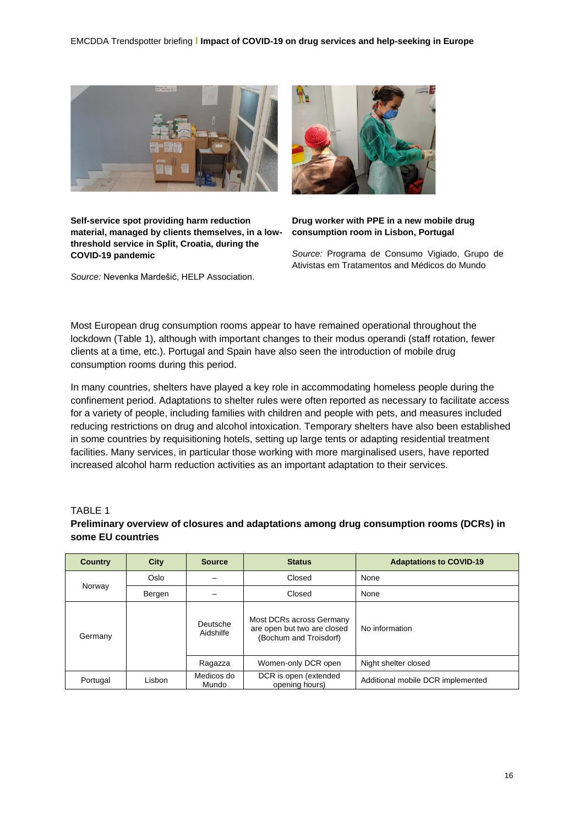

**Self-service spot providing harm reduction material, managed by clients themselves, in a lowthreshold service in Split, Croatia, during the COVID-19 pandemic**

*Source:* Nevenka Mardešić, HELP Association.



**Drug worker with PPE in a new mobile drug consumption room in Lisbon, Portugal**

*Source:* Programa de Consumo Vigiado, Grupo de Ativistas em Tratamentos and Médicos do Mundo

Most European drug consumption rooms appear to have remained operational throughout the lockdown (Table 1), although with important changes to their modus operandi (staff rotation, fewer clients at a time, etc.). Portugal and Spain have also seen the introduction of mobile drug consumption rooms during this period.

In many countries, shelters have played a key role in accommodating homeless people during the confinement period. Adaptations to shelter rules were often reported as necessary to facilitate access for a variety of people, including families with children and people with pets, and measures included reducing restrictions on drug and alcohol intoxication. Temporary shelters have also been established in some countries by requisitioning hotels, setting up large tents or adapting residential treatment facilities. Many services, in particular those working with more marginalised users, have reported increased alcohol harm reduction activities as an important adaptation to their services.

### TABLE 1

## **Preliminary overview of closures and adaptations among drug consumption rooms (DCRs) in some EU countries**

| <b>Country</b> | City   | <b>Source</b>         | <b>Status</b>                                                                     | <b>Adaptations to COVID-19</b>    |
|----------------|--------|-----------------------|-----------------------------------------------------------------------------------|-----------------------------------|
| Norway         | Oslo   |                       | Closed                                                                            | None                              |
|                | Bergen |                       | Closed                                                                            | None                              |
| Germany        |        | Deutsche<br>Aidshilfe | Most DCRs across Germany<br>are open but two are closed<br>(Bochum and Troisdorf) | No information                    |
|                |        | Ragazza               | Women-only DCR open                                                               | Night shelter closed              |
| Portugal       | Lisbon | Medicos do<br>Mundo   | DCR is open (extended<br>opening hours)                                           | Additional mobile DCR implemented |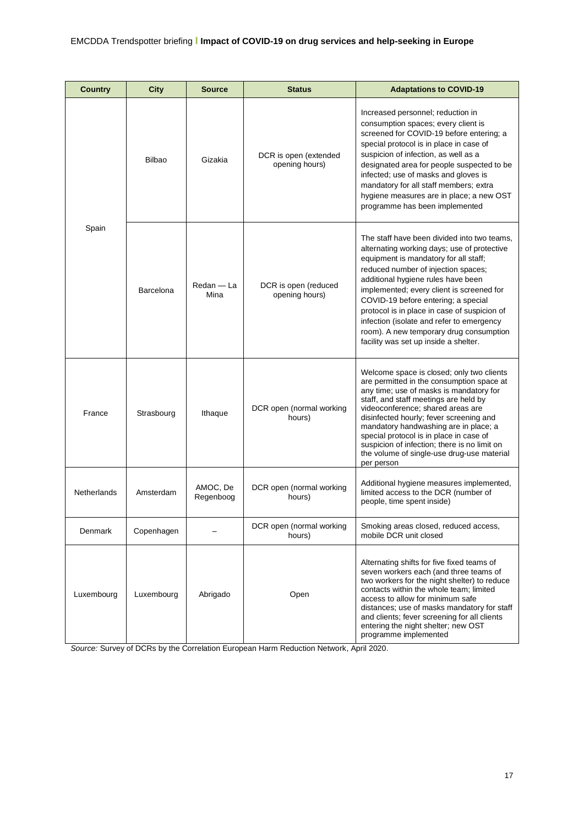| <b>Country</b> | <b>City</b>   | Source                | <b>Status</b>                           | <b>Adaptations to COVID-19</b>                                                                                                                                                                                                                                                                                                                                                                                                                                                        |
|----------------|---------------|-----------------------|-----------------------------------------|---------------------------------------------------------------------------------------------------------------------------------------------------------------------------------------------------------------------------------------------------------------------------------------------------------------------------------------------------------------------------------------------------------------------------------------------------------------------------------------|
| Spain          | <b>Bilbao</b> | Gizakia               | DCR is open (extended<br>opening hours) | Increased personnel; reduction in<br>consumption spaces; every client is<br>screened for COVID-19 before entering; a<br>special protocol is in place in case of<br>suspicion of infection, as well as a<br>designated area for people suspected to be<br>infected; use of masks and gloves is<br>mandatory for all staff members; extra<br>hygiene measures are in place; a new OST<br>programme has been implemented                                                                 |
|                | Barcelona     | Redan — La<br>Mina    | DCR is open (reduced<br>opening hours)  | The staff have been divided into two teams,<br>alternating working days; use of protective<br>equipment is mandatory for all staff;<br>reduced number of injection spaces;<br>additional hygiene rules have been<br>implemented; every client is screened for<br>COVID-19 before entering; a special<br>protocol is in place in case of suspicion of<br>infection (isolate and refer to emergency<br>room). A new temporary drug consumption<br>facility was set up inside a shelter. |
| France         | Strasbourg    | Ithaque               | DCR open (normal working<br>hours)      | Welcome space is closed; only two clients<br>are permitted in the consumption space at<br>any time; use of masks is mandatory for<br>staff, and staff meetings are held by<br>videoconference; shared areas are<br>disinfected hourly; fever screening and<br>mandatory handwashing are in place; a<br>special protocol is in place in case of<br>suspicion of infection; there is no limit on<br>the volume of single-use drug-use material<br>per person                            |
| Netherlands    | Amsterdam     | AMOC, De<br>Regenboog | DCR open (normal working<br>hours)      | Additional hygiene measures implemented,<br>limited access to the DCR (number of<br>people, time spent inside)                                                                                                                                                                                                                                                                                                                                                                        |
| Denmark        | Copenhagen    |                       | DCR open (normal working<br>hours)      | Smoking areas closed, reduced access,<br>mobile DCR unit closed                                                                                                                                                                                                                                                                                                                                                                                                                       |
| Luxembourg     | Luxembourg    | Abrigado              | Open                                    | Alternating shifts for five fixed teams of<br>seven workers each (and three teams of<br>two workers for the night shelter) to reduce<br>contacts within the whole team; limited<br>access to allow for minimum safe<br>distances; use of masks mandatory for staff<br>and clients; fever screening for all clients<br>entering the night shelter; new OST<br>programme implemented                                                                                                    |

*Source:* Survey of DCRs by the Correlation European Harm Reduction Network, April 2020.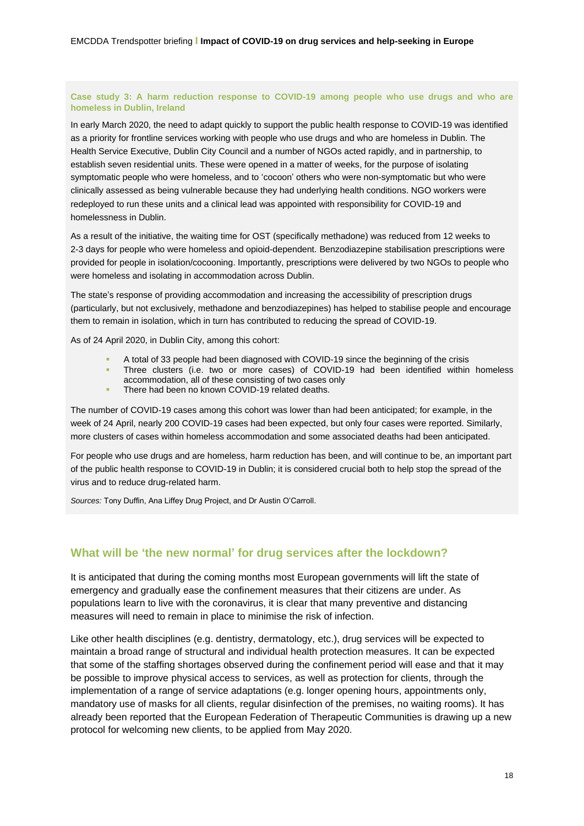#### **Case study 3: A harm reduction response to COVID-19 among people who use drugs and who are homeless in Dublin, Ireland**

In early March 2020, the need to adapt quickly to support the public health response to COVID-19 was identified as a priority for frontline services working with people who use drugs and who are homeless in Dublin. The Health Service Executive, Dublin City Council and a number of NGOs acted rapidly, and in partnership, to establish seven residential units. These were opened in a matter of weeks, for the purpose of isolating symptomatic people who were homeless, and to 'cocoon' others who were non-symptomatic but who were clinically assessed as being vulnerable because they had underlying health conditions. NGO workers were redeployed to run these units and a clinical lead was appointed with responsibility for COVID-19 and homelessness in Dublin.

As a result of the initiative, the waiting time for OST (specifically methadone) was reduced from 12 weeks to 2-3 days for people who were homeless and opioid-dependent. Benzodiazepine stabilisation prescriptions were provided for people in isolation/cocooning. Importantly, prescriptions were delivered by two NGOs to people who were homeless and isolating in accommodation across Dublin.

The state's response of providing accommodation and increasing the accessibility of prescription drugs (particularly, but not exclusively, methadone and benzodiazepines) has helped to stabilise people and encourage them to remain in isolation, which in turn has contributed to reducing the spread of COVID-19.

As of 24 April 2020, in Dublin City, among this cohort:

- A total of 33 people had been diagnosed with COVID-19 since the beginning of the crisis
- Three clusters (i.e. two or more cases) of COVID-19 had been identified within homeless accommodation, all of these consisting of two cases only
- There had been no known COVID-19 related deaths.

The number of COVID-19 cases among this cohort was lower than had been anticipated; for example, in the week of 24 April, nearly 200 COVID-19 cases had been expected, but only four cases were reported. Similarly, more clusters of cases within homeless accommodation and some associated deaths had been anticipated.

For people who use drugs and are homeless, harm reduction has been, and will continue to be, an important part of the public health response to COVID-19 in Dublin; it is considered crucial both to help stop the spread of the virus and to reduce drug-related harm.

*Sources:* Tony Duffin, Ana Liffey Drug Project, and Dr Austin O'Carroll.

# **What will be 'the new normal' for drug services after the lockdown?**

It is anticipated that during the coming months most European governments will lift the state of emergency and gradually ease the confinement measures that their citizens are under. As populations learn to live with the coronavirus, it is clear that many preventive and distancing measures will need to remain in place to minimise the risk of infection.

Like other health disciplines (e.g. dentistry, dermatology, etc.), drug services will be expected to maintain a broad range of structural and individual health protection measures. It can be expected that some of the staffing shortages observed during the confinement period will ease and that it may be possible to improve physical access to services, as well as protection for clients, through the implementation of a range of service adaptations (e.g. longer opening hours, appointments only, mandatory use of masks for all clients, regular disinfection of the premises, no waiting rooms). It has already been reported that the European Federation of Therapeutic Communities is drawing up a new protocol for welcoming new clients, to be applied from May 2020.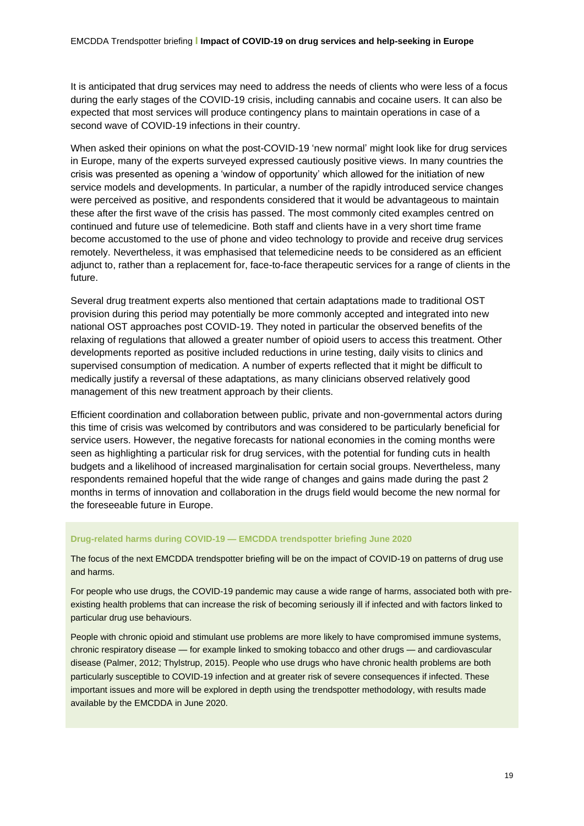It is anticipated that drug services may need to address the needs of clients who were less of a focus during the early stages of the COVID-19 crisis, including cannabis and cocaine users. It can also be expected that most services will produce contingency plans to maintain operations in case of a second wave of COVID-19 infections in their country.

When asked their opinions on what the post-COVID-19 'new normal' might look like for drug services in Europe, many of the experts surveyed expressed cautiously positive views. In many countries the crisis was presented as opening a 'window of opportunity' which allowed for the initiation of new service models and developments. In particular, a number of the rapidly introduced service changes were perceived as positive, and respondents considered that it would be advantageous to maintain these after the first wave of the crisis has passed. The most commonly cited examples centred on continued and future use of telemedicine. Both staff and clients have in a very short time frame become accustomed to the use of phone and video technology to provide and receive drug services remotely. Nevertheless, it was emphasised that telemedicine needs to be considered as an efficient adjunct to, rather than a replacement for, face-to-face therapeutic services for a range of clients in the future.

Several drug treatment experts also mentioned that certain adaptations made to traditional OST provision during this period may potentially be more commonly accepted and integrated into new national OST approaches post COVID-19. They noted in particular the observed benefits of the relaxing of regulations that allowed a greater number of opioid users to access this treatment. Other developments reported as positive included reductions in urine testing, daily visits to clinics and supervised consumption of medication. A number of experts reflected that it might be difficult to medically justify a reversal of these adaptations, as many clinicians observed relatively good management of this new treatment approach by their clients.

Efficient coordination and collaboration between public, private and non-governmental actors during this time of crisis was welcomed by contributors and was considered to be particularly beneficial for service users. However, the negative forecasts for national economies in the coming months were seen as highlighting a particular risk for drug services, with the potential for funding cuts in health budgets and a likelihood of increased marginalisation for certain social groups. Nevertheless, many respondents remained hopeful that the wide range of changes and gains made during the past 2 months in terms of innovation and collaboration in the drugs field would become the new normal for the foreseeable future in Europe.

#### **Drug-related harms during COVID-19 — EMCDDA trendspotter briefing June 2020**

The focus of the next EMCDDA trendspotter briefing will be on the impact of COVID-19 on patterns of drug use and harms.

For people who use drugs, the COVID-19 pandemic may cause a wide range of harms, associated both with preexisting health problems that can increase the risk of becoming seriously ill if infected and with factors linked to particular drug use behaviours.

People with chronic opioid and stimulant use problems are more likely to have compromised immune systems, chronic respiratory disease — for example linked to smoking tobacco and other drugs — and cardiovascular disease (Palmer, 2012; Thylstrup, 2015). People who use drugs who have chronic health problems are both particularly susceptible to COVID-19 infection and at greater risk of severe consequences if infected. These important issues and more will be explored in depth using the trendspotter methodology, with results made available by the EMCDDA in June 2020.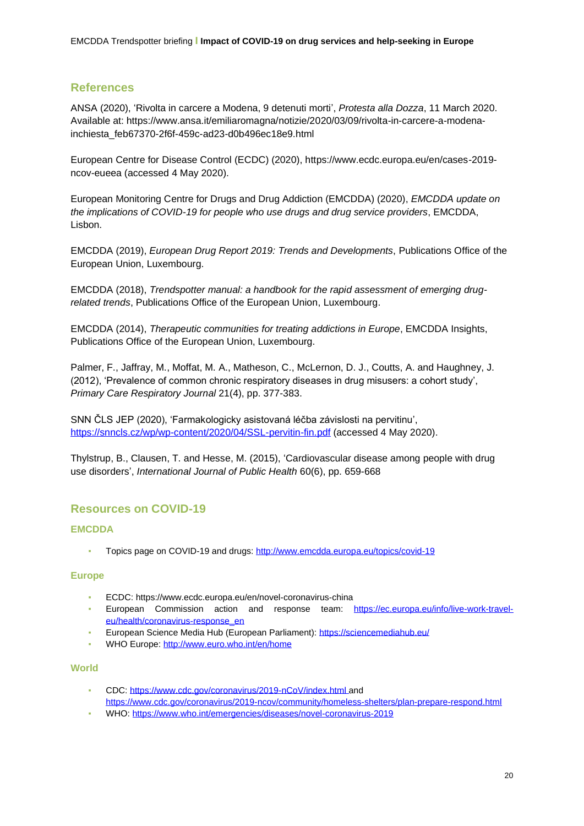# **References**

ANSA (2020), 'Rivolta in carcere a Modena, 9 detenuti morti', *Protesta alla Dozza*, 11 March 2020. Available at: [https://www.ansa.it/emiliaromagna/notizie/2020/03/09/rivolta-in-carcere-a-modena](https://www.ansa.it/emiliaromagna/notizie/2020/03/09/rivolta-in-carcere-a-modena-inchiesta_feb67370-2f6f-459c-ad23-d0b496ec18e9.html)[inchiesta\\_feb67370-2f6f-459c-ad23-d0b496ec18e9.html](https://www.ansa.it/emiliaromagna/notizie/2020/03/09/rivolta-in-carcere-a-modena-inchiesta_feb67370-2f6f-459c-ad23-d0b496ec18e9.html)

European Centre for Disease Control (ECDC) (2020), https://www.ecdc.europa.eu/en/cases-2019 ncov-eueea (accessed 4 May 2020).

European Monitoring Centre for Drugs and Drug Addiction (EMCDDA) (2020), *EMCDDA update on the implications of COVID-19 for people who use drugs and drug service providers*, EMCDDA, Lisbon.

EMCDDA (2019), *European Drug Report 2019: Trends and Developments*, Publications Office of the European Union, Luxembourg.

EMCDDA (2018), *Trendspotter manual: a handbook for the rapid assessment of emerging drugrelated trends*, Publications Office of the European Union, Luxembourg.

EMCDDA (2014), *Therapeutic communities for treating addictions in Europe*, EMCDDA Insights, Publications Office of the European Union, Luxembourg.

Palmer, F., Jaffray, M., Moffat, M. A., Matheson, C., McLernon, D. J., Coutts, A. and Haughney, J. (2012), 'Prevalence of common chronic respiratory diseases in drug misusers: a cohort study', *Primary Care Respiratory Journal* 21(4), pp. 377-383.

SNN ČLS JEP (2020), 'Farmakologicky asistovaná léčba závislosti na pervitinu', <https://snncls.cz/wp/wp-content/2020/04/SSL-pervitin-fin.pdf> (accessed 4 May 2020).

Thylstrup, B., Clausen, T. and Hesse, M. (2015), 'Cardiovascular disease among people with drug use disorders', *International Journal of Public Health* 60(6), pp. 659-668

# **Resources on COVID-19**

### **EMCDDA**

Topics page on COVID-19 and drugs:<http://www.emcdda.europa.eu/topics/covid-19>

### **Europe**

- ECDC: https://www.ecdc.europa.eu/en/novel-coronavirus-china
- European Commission action and response team: [https://ec.europa.eu/info/live-work-travel](https://ec.europa.eu/info/live-work-travel-eu/health/coronavirus-response_en)[eu/health/coronavirus-response\\_en](https://ec.europa.eu/info/live-work-travel-eu/health/coronavirus-response_en)
- European Science Media Hub (European Parliament)[: https://sciencemediahub.eu/](https://sciencemediahub.eu/)
- WHO Europe[: http://www.euro.who.int/en/home](http://www.euro.who.int/en/home)

#### **World**

- CDC[: https://www.cdc.gov/coronavirus/2019-nCoV/index.html](https://www.cdc.gov/coronavirus/2019-nCoV/index.html) and
- <https://www.cdc.gov/coronavirus/2019-ncov/community/homeless-shelters/plan-prepare-respond.html>
- WHO:<https://www.who.int/emergencies/diseases/novel-coronavirus-2019>